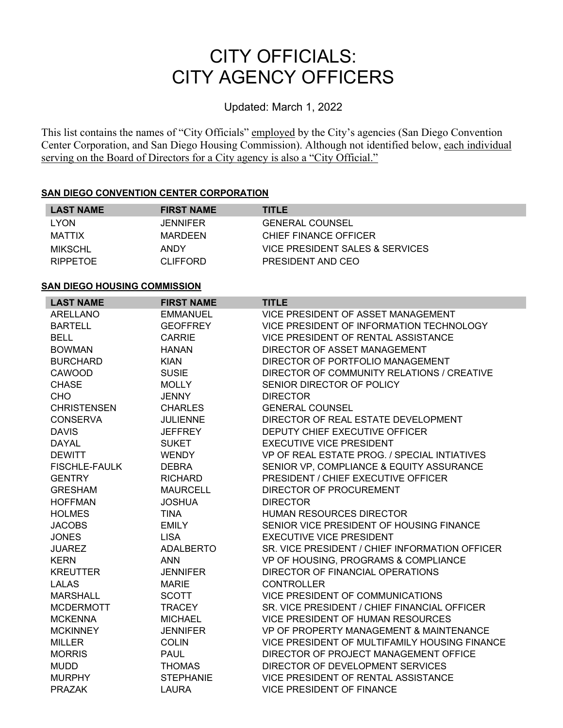## CITY OFFICIALS: CITY AGENCY OFFICERS

Updated: March 1, 2022

This list contains the names of "City Officials" employed by the City's agencies (San Diego Convention Center Corporation, and San Diego Housing Commission). Although not identified below, each individual serving on the Board of Directors for a City agency is also a "City Official."

## **SAN DIEGO CONVENTION CENTER CORPORATION**

| <b>LAST NAME</b> | <b>FIRST NAME</b> | <b>TITLE</b>                    |
|------------------|-------------------|---------------------------------|
| <b>LYON</b>      | <b>JENNIFER</b>   | <b>GENERAL COUNSEL</b>          |
| <b>MATTIX</b>    | MARDEEN           | CHIEF FINANCE OFFICER           |
| <b>MIKSCHL</b>   | ANDY              | VICE PRESIDENT SALES & SERVICES |
| <b>RIPPETOE</b>  | <b>CLIFFORD</b>   | PRESIDENT AND CEO               |
|                  |                   |                                 |

## **SAN DIEGO HOUSING COMMISSION**

| <b>LAST NAME</b>     | <b>FIRST NAME</b> | <b>TITLE</b>                                   |
|----------------------|-------------------|------------------------------------------------|
| ARELLANO             | EMMANUEL          | VICE PRESIDENT OF ASSET MANAGEMENT             |
| <b>BARTELL</b>       | <b>GEOFFREY</b>   | VICE PRESIDENT OF INFORMATION TECHNOLOGY       |
| <b>BELL</b>          | <b>CARRIE</b>     | VICE PRESIDENT OF RENTAL ASSISTANCE            |
| <b>BOWMAN</b>        | <b>HANAN</b>      | DIRECTOR OF ASSET MANAGEMENT                   |
| <b>BURCHARD</b>      | <b>KIAN</b>       | DIRECTOR OF PORTFOLIO MANAGEMENT               |
| CAWOOD               | <b>SUSIE</b>      | DIRECTOR OF COMMUNITY RELATIONS / CREATIVE     |
| <b>CHASE</b>         | <b>MOLLY</b>      | SENIOR DIRECTOR OF POLICY                      |
| <b>CHO</b>           | <b>JENNY</b>      | <b>DIRECTOR</b>                                |
| <b>CHRISTENSEN</b>   | <b>CHARLES</b>    | <b>GENERAL COUNSEL</b>                         |
| <b>CONSERVA</b>      | <b>JULIENNE</b>   | DIRECTOR OF REAL ESTATE DEVELOPMENT            |
| <b>DAVIS</b>         | <b>JEFFREY</b>    | DEPUTY CHIEF EXECUTIVE OFFICER                 |
| <b>DAYAL</b>         | <b>SUKET</b>      | <b>EXECUTIVE VICE PRESIDENT</b>                |
| <b>DEWITT</b>        | <b>WENDY</b>      | VP OF REAL ESTATE PROG. / SPECIAL INTIATIVES   |
| <b>FISCHLE-FAULK</b> | <b>DEBRA</b>      | SENIOR VP, COMPLIANCE & EQUITY ASSURANCE       |
| <b>GENTRY</b>        | <b>RICHARD</b>    | PRESIDENT / CHIEF EXECUTIVE OFFICER            |
| <b>GRESHAM</b>       | <b>MAURCELL</b>   | DIRECTOR OF PROCUREMENT                        |
| <b>HOFFMAN</b>       | <b>JOSHUA</b>     | <b>DIRECTOR</b>                                |
| <b>HOLMES</b>        | <b>TINA</b>       | <b>HUMAN RESOURCES DIRECTOR</b>                |
| <b>JACOBS</b>        | <b>EMILY</b>      | SENIOR VICE PRESIDENT OF HOUSING FINANCE       |
| <b>JONES</b>         | <b>LISA</b>       | <b>EXECUTIVE VICE PRESIDENT</b>                |
| <b>JUAREZ</b>        | <b>ADALBERTO</b>  | SR. VICE PRESIDENT / CHIEF INFORMATION OFFICER |
| <b>KERN</b>          | <b>ANN</b>        | VP OF HOUSING, PROGRAMS & COMPLIANCE           |
| <b>KREUTTER</b>      | <b>JENNIFER</b>   | DIRECTOR OF FINANCIAL OPERATIONS               |
| <b>LALAS</b>         | <b>MARIE</b>      | <b>CONTROLLER</b>                              |
| <b>MARSHALL</b>      | <b>SCOTT</b>      | <b>VICE PRESIDENT OF COMMUNICATIONS</b>        |
| <b>MCDERMOTT</b>     | <b>TRACEY</b>     | SR. VICE PRESIDENT / CHIEF FINANCIAL OFFICER   |
| <b>MCKENNA</b>       | <b>MICHAEL</b>    | <b>VICE PRESIDENT OF HUMAN RESOURCES</b>       |
| <b>MCKINNEY</b>      | <b>JENNIFER</b>   | VP OF PROPERTY MANAGEMENT & MAINTENANCE        |
| <b>MILLER</b>        | <b>COLIN</b>      | VICE PRESIDENT OF MULTIFAMILY HOUSING FINANCE  |
| <b>MORRIS</b>        | <b>PAUL</b>       | DIRECTOR OF PROJECT MANAGEMENT OFFICE          |
| <b>MUDD</b>          | <b>THOMAS</b>     | DIRECTOR OF DEVELOPMENT SERVICES               |
| <b>MURPHY</b>        | <b>STEPHANIE</b>  | VICE PRESIDENT OF RENTAL ASSISTANCE            |
| <b>PRAZAK</b>        | LAURA             | <b>VICE PRESIDENT OF FINANCE</b>               |
|                      |                   |                                                |